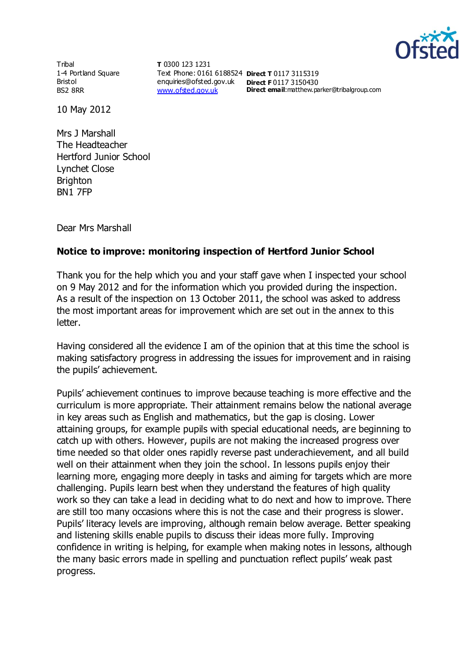

Tribal 1-4 Portland Square Bristol BS2 8RR

**T** 0300 123 1231 Text Phone: 0161 6188524 **Direct T** 0117 3115319 enquiries@ofsted.gov.uk **Direct F** 0117 3150430 [www.ofsted.gov.uk](http://www.ofsted.gov.uk/)

**Direct email**:matthew.parker@tribalgroup.com

10 May 2012

Mrs J Marshall The Headteacher Hertford Junior School Lynchet Close **Brighton** BN1 7FP

Dear Mrs Marshall

## **Notice to improve: monitoring inspection of Hertford Junior School**

Thank you for the help which you and your staff gave when I inspected your school on 9 May 2012 and for the information which you provided during the inspection. As a result of the inspection on 13 October 2011, the school was asked to address the most important areas for improvement which are set out in the annex to this letter.

Having considered all the evidence I am of the opinion that at this time the school is making satisfactory progress in addressing the issues for improvement and in raising the pupils' achievement.

Pupils' achievement continues to improve because teaching is more effective and the curriculum is more appropriate. Their attainment remains below the national average in key areas such as English and mathematics, but the gap is closing. Lower attaining groups, for example pupils with special educational needs, are beginning to catch up with others. However, pupils are not making the increased progress over time needed so that older ones rapidly reverse past underachievement, and all build well on their attainment when they join the school. In lessons pupils enjoy their learning more, engaging more deeply in tasks and aiming for targets which are more challenging. Pupils learn best when they understand the features of high quality work so they can take a lead in deciding what to do next and how to improve. There are still too many occasions where this is not the case and their progress is slower. Pupils' literacy levels are improving, although remain below average. Better speaking and listening skills enable pupils to discuss their ideas more fully. Improving confidence in writing is helping, for example when making notes in lessons, although the many basic errors made in spelling and punctuation reflect pupils' weak past progress.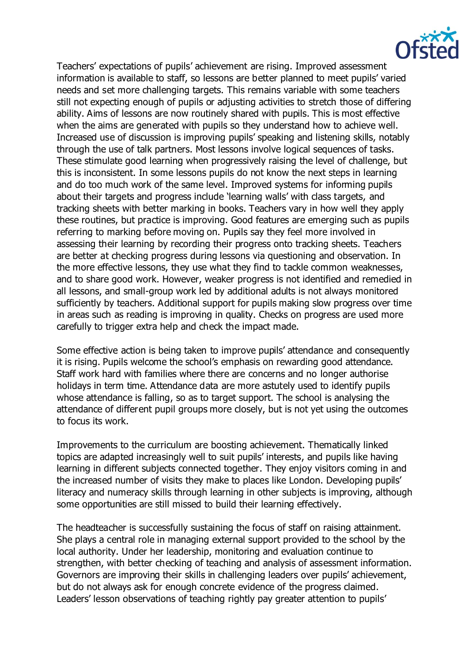

Teachers' expectations of pupils' achievement are rising. Improved assessment information is available to staff, so lessons are better planned to meet pupils' varied needs and set more challenging targets. This remains variable with some teachers still not expecting enough of pupils or adjusting activities to stretch those of differing ability. Aims of lessons are now routinely shared with pupils. This is most effective when the aims are generated with pupils so they understand how to achieve well. Increased use of discussion is improving pupils' speaking and listening skills, notably through the use of talk partners. Most lessons involve logical sequences of tasks. These stimulate good learning when progressively raising the level of challenge, but this is inconsistent. In some lessons pupils do not know the next steps in learning and do too much work of the same level. Improved systems for informing pupils about their targets and progress include 'learning walls' with class targets, and tracking sheets with better marking in books. Teachers vary in how well they apply these routines, but practice is improving. Good features are emerging such as pupils referring to marking before moving on. Pupils say they feel more involved in assessing their learning by recording their progress onto tracking sheets. Teachers are better at checking progress during lessons via questioning and observation. In the more effective lessons, they use what they find to tackle common weaknesses, and to share good work. However, weaker progress is not identified and remedied in all lessons, and small-group work led by additional adults is not always monitored sufficiently by teachers. Additional support for pupils making slow progress over time in areas such as reading is improving in quality. Checks on progress are used more carefully to trigger extra help and check the impact made.

Some effective action is being taken to improve pupils' attendance and consequently it is rising. Pupils welcome the school's emphasis on rewarding good attendance. Staff work hard with families where there are concerns and no longer authorise holidays in term time. Attendance data are more astutely used to identify pupils whose attendance is falling, so as to target support. The school is analysing the attendance of different pupil groups more closely, but is not yet using the outcomes to focus its work.

Improvements to the curriculum are boosting achievement. Thematically linked topics are adapted increasingly well to suit pupils' interests, and pupils like having learning in different subjects connected together. They enjoy visitors coming in and the increased number of visits they make to places like London. Developing pupils' literacy and numeracy skills through learning in other subjects is improving, although some opportunities are still missed to build their learning effectively.

The headteacher is successfully sustaining the focus of staff on raising attainment. She plays a central role in managing external support provided to the school by the local authority. Under her leadership, monitoring and evaluation continue to strengthen, with better checking of teaching and analysis of assessment information. Governors are improving their skills in challenging leaders over pupils' achievement, but do not always ask for enough concrete evidence of the progress claimed. Leaders' lesson observations of teaching rightly pay greater attention to pupils'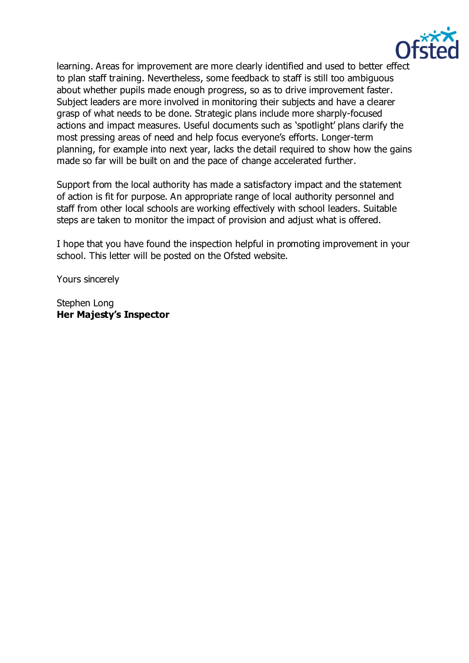

learning. Areas for improvement are more clearly identified and used to better effect to plan staff training. Nevertheless, some feedback to staff is still too ambiguous about whether pupils made enough progress, so as to drive improvement faster. Subject leaders are more involved in monitoring their subjects and have a clearer grasp of what needs to be done. Strategic plans include more sharply-focused actions and impact measures. Useful documents such as 'spotlight' plans clarify the most pressing areas of need and help focus everyone's efforts. Longer-term planning, for example into next year, lacks the detail required to show how the gains made so far will be built on and the pace of change accelerated further.

Support from the local authority has made a satisfactory impact and the statement of action is fit for purpose. An appropriate range of local authority personnel and staff from other local schools are working effectively with school leaders. Suitable steps are taken to monitor the impact of provision and adjust what is offered.

I hope that you have found the inspection helpful in promoting improvement in your school. This letter will be posted on the Ofsted website.

Yours sincerely

Stephen Long **Her Majesty's Inspector**